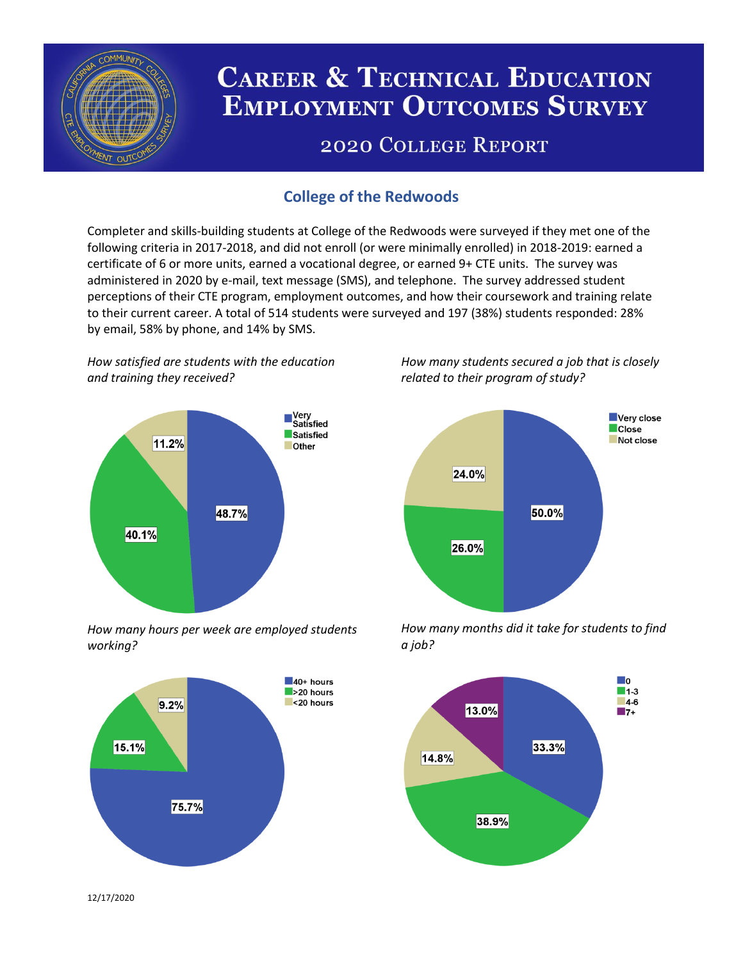

# **CAREER & TECHNICAL EDUCATION EMPLOYMENT OUTCOMES SURVEY**

## **2020 COLLEGE REPORT**

## **College of the Redwoods**

Completer and skills-building students at College of the Redwoods were surveyed if they met one of the following criteria in 2017-2018, and did not enroll (or were minimally enrolled) in 2018-2019: earned a certificate of 6 or more units, earned a vocational degree, or earned 9+ CTE units. The survey was administered in 2020 by e-mail, text message (SMS), and telephone. The survey addressed student perceptions of their CTE program, employment outcomes, and how their coursework and training relate to their current career. A total of 514 students were surveyed and 197 (38%) students responded: 28% by email, 58% by phone, and 14% by SMS.

*How satisfied are students with the education and training they received?*



*How many hours per week are employed students working?*



*How many students secured a job that is closely related to their program of study?*



*How many months did it take for students to find a job?*



12/17/2020